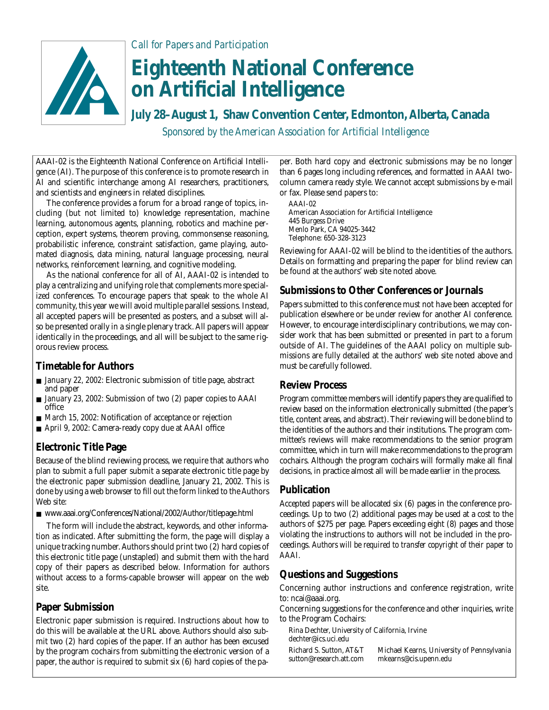

*Call for Papers and Participation*

# **Eighteenth National Conference on Artificial Intelligence**

**July 28–August 1, Shaw Convention Center, Edmonton, Alberta, Canada** *Sponsored by the American Association for Artificial Intelligence*

AAAI-02 is the Eighteenth National Conference on Artificial Intelligence (AI). The purpose of this conference is to promote research in AI and scientific interchange among AI researchers, practitioners, and scientists and engineers in related disciplines.

The conference provides a forum for a broad range of topics, including (but not limited to) knowledge representation, machine learning, autonomous agents, planning, robotics and machine perception, expert systems, theorem proving, commonsense reasoning, probabilistic inference, constraint satisfaction, game playing, automated diagnosis, data mining, natural language processing, neural networks, reinforcement learning, and cognitive modeling.

As the national conference for all of AI, AAAI-02 is intended to play a centralizing and unifying role that complements more specialized conferences. To encourage papers that speak to the whole AI community, this year we will avoid multiple parallel sessions. Instead, all accepted papers will be presented as posters, and a subset will also be presented orally in a single plenary track. All papers will appear identically in the proceedings, and all will be subject to the same rigorous review process.

## **Timetable for Authors**

- *January 22, 2002:* Electronic submission of title page, abstract and paper
- *January 23, 2002:* Submission of two (2) paper copies to AAAI office
- *March 15, 2002:* Notification of acceptance or rejection
- *April 9, 2002:* Camera-ready copy due at AAAI office

## **Electronic Title Page**

Because of the blind reviewing process, we require that authors who plan to submit a full paper submit a separate electronic title page by the electronic paper submission deadline, January 21, 2002. This is done by using a web browser to fill out the form linked to the Authors Web site:

■ www.aaai.org/Conferences/National/2002/Author/titlepage.html

The form will include the abstract, keywords, and other information as indicated. After submitting the form, the page will display a unique tracking number. Authors should print two (2) hard copies of this electronic title page (unstapled) and submit them with the hard copy of their papers as described below. Information for authors without access to a forms-capable browser will appear on the web site.

## **Paper Submission**

Electronic paper submission is required. Instructions about how to do this will be available at the URL above. Authors should also submit two (2) hard copies of the paper. If an author has been excused by the program cochairs from submitting the electronic version of a paper, the author is required to submit six (6) hard copies of the paper. Both hard copy and electronic submissions may be no longer than 6 pages long including references, and formatted in AAAI twocolumn camera ready style. We cannot accept submissions by e-mail or fax. Please send papers to:

AAAI-02 American Association for Artificial Intelligence 445 Burgess Drive Menlo Park, CA 94025-3442 Telephone: 650-328-3123

Reviewing for AAAI-02 will be blind to the identities of the authors. Details on formatting and preparing the paper for blind review can be found at the authors' web site noted above.

## **Submissions to Other Conferences or Journals**

Papers submitted to this conference must not have been accepted for publication elsewhere or be under review for another AI conference. However, to encourage interdisciplinary contributions, we may consider work that has been submitted or presented in part to a forum outside of AI. The guidelines of the AAAI policy on multiple submissions are fully detailed at the authors' web site noted above and must be carefully followed.

#### **Review Process**

Program committee members will identify papers they are qualified to review based on the information electronically submitted (the paper's title, content areas, and abstract). Their reviewing will be done blind to the identities of the authors and their institutions. The program committee's reviews will make recommendations to the senior program committee, which in turn will make recommendations to the program cochairs. Although the program cochairs will formally make all final decisions, in practice almost all will be made earlier in the process.

#### **Publication**

Accepted papers will be allocated six (6) pages in the conference proceedings. Up to two (2) additional pages may be used at a cost to the authors of \$275 per page. Papers exceeding eight (8) pages and those violating the instructions to authors will not be included in the proceedings. *Authors will be required to transfer copyright of their paper to AAAI.*

## **Questions and Suggestions**

Concerning author instructions and conference registration, write to: ncai@aaai.org.

Concerning suggestions for the conference and other inquiries, write to the Program Cochairs:

- Rina Dechter, University of California, Irvine dechter@ics.uci.edu
- Richard S. Sutton, AT&T Michael Kearns, University of Pennsylvania sutton@research.att.com mkearns@cis.upenn.edu